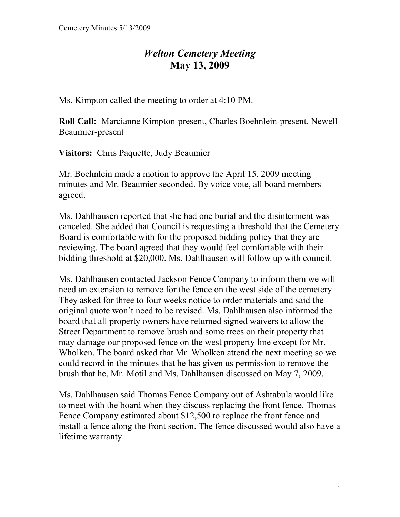## *Welton Cemetery Meeting*  **May 13, 2009**

Ms. Kimpton called the meeting to order at 4:10 PM.

**Roll Call:** Marcianne Kimpton-present, Charles Boehnlein-present, Newell Beaumier-present

**Visitors:** Chris Paquette, Judy Beaumier

Mr. Boehnlein made a motion to approve the April 15, 2009 meeting minutes and Mr. Beaumier seconded. By voice vote, all board members agreed.

Ms. Dahlhausen reported that she had one burial and the disinterment was canceled. She added that Council is requesting a threshold that the Cemetery Board is comfortable with for the proposed bidding policy that they are reviewing. The board agreed that they would feel comfortable with their bidding threshold at \$20,000. Ms. Dahlhausen will follow up with council.

Ms. Dahlhausen contacted Jackson Fence Company to inform them we will need an extension to remove for the fence on the west side of the cemetery. They asked for three to four weeks notice to order materials and said the original quote won't need to be revised. Ms. Dahlhausen also informed the board that all property owners have returned signed waivers to allow the Street Department to remove brush and some trees on their property that may damage our proposed fence on the west property line except for Mr. Wholken. The board asked that Mr. Wholken attend the next meeting so we could record in the minutes that he has given us permission to remove the brush that he, Mr. Motil and Ms. Dahlhausen discussed on May 7, 2009.

Ms. Dahlhausen said Thomas Fence Company out of Ashtabula would like to meet with the board when they discuss replacing the front fence. Thomas Fence Company estimated about \$12,500 to replace the front fence and install a fence along the front section. The fence discussed would also have a lifetime warranty.